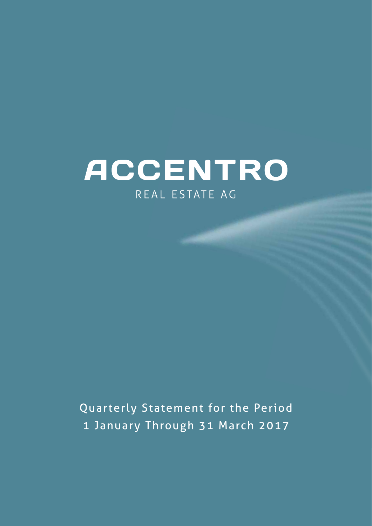# ACCENTRO REAL ESTATE AG

Quarterly Statement for the Period 1 January Through 31 March 2017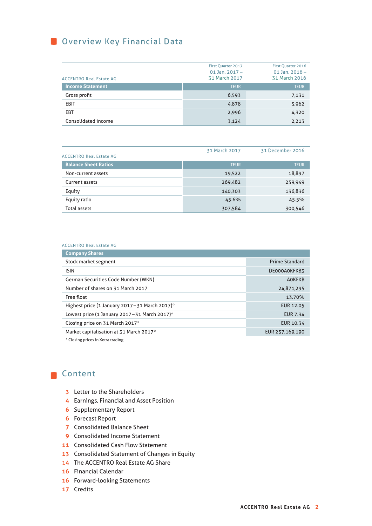**O** Overview Key Financial Data

| <b>ACCENTRO Real Estate AG</b> | <b>First Quarter 2017</b><br>01 Jan. $2017 -$<br>31 March 2017 | First Quarter 2016<br>01 Jan. $2016 -$<br>31 March 2016 |
|--------------------------------|----------------------------------------------------------------|---------------------------------------------------------|
| <b>Income Statement</b>        | <b>TEUR</b>                                                    | <b>TEUR</b>                                             |
| Gross profit                   | 6,593                                                          | 7,131                                                   |
| <b>EBIT</b>                    | 4,878                                                          | 5,962                                                   |
| <b>EBT</b>                     | 2,996                                                          | 4,320                                                   |
| Consolidated income            | 3,124                                                          | 2,213                                                   |

| <b>ACCENTRO Real Estate AG</b> | 31 March 2017 | 31 December 2016 |
|--------------------------------|---------------|------------------|
| <b>Balance Sheet Ratios</b>    | <b>TEUR</b>   | <b>TEUR</b>      |
| Non-current assets             | 19,522        | 18,897           |
| Current assets                 | 269,482       | 259,949          |
| Equity                         | 140,303       | 136,836          |
| Equity ratio                   | 45.6%         | 45.5%            |
| Total assets                   | 307,584       | 300,546          |

#### ACCENTRO Real Estate AG

| <b>Company Shares</b>                         |                       |
|-----------------------------------------------|-----------------------|
| Stock market segment                          | <b>Prime Standard</b> |
| <b>ISIN</b>                                   | DE000A0KFKB3          |
| <b>German Securities Code Number (WKN)</b>    | <b>AOKFKB</b>         |
| Number of shares on 31 March 2017             | 24,871,295            |
| Free float                                    | 13.70%                |
| Highest price (1 January 2017-31 March 2017)* | <b>EUR 12.05</b>      |
| Lowest price (1 January 2017-31 March 2017)*  | <b>EUR 7.34</b>       |
| Closing price on 31 March 2017*               | EUR 10.34             |
| Market capitalisation at 31 March 2017*       | EUR 257,169,190       |

\* Closing prices in Xetra trading

## Content

- **3** Letter to the Shareholders
- **4** Earnings, Financial and Asset Position
- **6** Supplementary Report
- **6** Forecast Report
- **7** Consolidated Balance Sheet
- **9** Consolidated Income Statement
- **11** Consolidated Cash Flow Statement
- **13** Consolidated Statement of Changes in Equity
- 1**4** The ACCENTRO Real Estate AG Share
- **16** Financial Calendar
- **16** Forward-looking Statements
- **17** Credits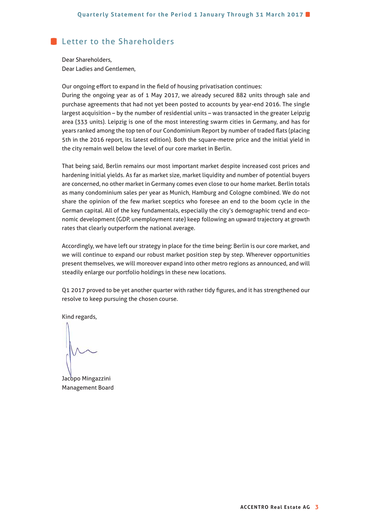## Letter to the Shareholders

Dear Shareholders, Dear Ladies and Gentlemen,

Our ongoing effort to expand in the field of housing privatisation continues:

During the ongoing year as of 1 May 2017, we already secured 882 units through sale and purchase agreements that had not yet been posted to accounts by year-end 2016. The single largest acquisition – by the number of residential units – was transacted in the greater Leipzig area (333 units). Leipzig is one of the most interesting swarm cities in Germany, and has for years ranked among the top ten of our Condominium Report by number of traded flats (placing 5th in the 2016 report, its latest edition). Both the square-metre price and the initial yield in the city remain well below the level of our core market in Berlin.

That being said, Berlin remains our most important market despite increased cost prices and hardening initial yields. As far as market size, market liquidity and number of potential buyers are concerned, no other market in Germany comes even close to our home market. Berlin totals as many condominium sales per year as Munich, Hamburg and Cologne combined. We do not share the opinion of the few market sceptics who foresee an end to the boom cycle in the German capital. All of the key fundamentals, especially the city's demographic trend and economic development (GDP, unemployment rate) keep following an upward trajectory at growth rates that clearly outperform the national average.

Accordingly, we have left our strategy in place for the time being: Berlin is our core market, and we will continue to expand our robust market position step by step. Wherever opportunities present themselves, we will moreover expand into other metro regions as announced, and will steadily enlarge our portfolio holdings in these new locations.

Q1 2017 proved to be yet another quarter with rather tidy figures, and it has strengthened our resolve to keep pursuing the chosen course.

Kind regards,

Jacopo Mingazzini Management Board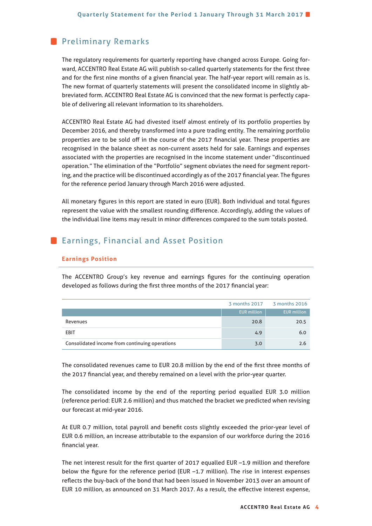## **Preliminary Remarks**

The regulatory requirements for quarterly reporting have changed across Europe. Going forward, ACCENTRO Real Estate AG will publish so-called quarterly statements for the first three and for the first nine months of a given financial year. The half-year report will remain as is. The new format of quarterly statements will present the consolidated income in slightly abbreviated form. ACCENTRO Real Estate AG is convinced that the new format is perfectly capable of delivering all relevant information to its shareholders.

ACCENTRO Real Estate AG had divested itself almost entirely of its portfolio properties by December 2016, and thereby transformed into a pure trading entity. The remaining portfolio properties are to be sold off in the course of the 2017 financial year. These properties are recognised in the balance sheet as non-current assets held for sale. Earnings and expenses associated with the properties are recognised in the income statement under "discontinued operation." The elimination of the "Portfolio" segment obviates the need for segment reporting, and the practice will be discontinued accordingly as of the 2017 financial year. The figures for the reference period January through March 2016 were adjusted.

All monetary figures in this report are stated in euro (EUR). Both individual and total figures represent the value with the smallest rounding difference. Accordingly, adding the values of the individual line items may result in minor differences compared to the sum totals posted.

## **Earnings, Financial and Asset Position**

#### **Earnings Position**

The ACCENTRO Group's key revenue and earnings figures for the continuing operation developed as follows during the first three months of the 2017 financial year:

|                                                |                    | 3 months 2017 3 months 2016 |
|------------------------------------------------|--------------------|-----------------------------|
|                                                | <b>EUR</b> million | <b>EUR</b> million          |
| Revenues                                       | 20.8               | 20.5                        |
| <b>EBIT</b>                                    | 4.9                | 6.0                         |
| Consolidated income from continuing operations | 3.0                | 2.6                         |

The consolidated revenues came to EUR 20.8 million by the end of the first three months of the 2017 financial year, and thereby remained on a level with the prior-year quarter.

The consolidated income by the end of the reporting period equalled EUR 3.0 million (reference period: EUR 2.6 million) and thus matched the bracket we predicted when revising our forecast at mid-year 2016.

At EUR 0.7 million, total payroll and benefit costs slightly exceeded the prior-year level of EUR 0.6 million, an increase attributable to the expansion of our workforce during the 2016 financial year.

The net interest result for the first quarter of 2017 equalled EUR -1.9 million and therefore below the figure for the reference period (EUR  $-1.7$  million). The rise in interest expenses reflects the buy-back of the bond that had been issued in November 2013 over an amount of EUR 10 million, as announced on 31 March 2017. As a result, the effective interest expense,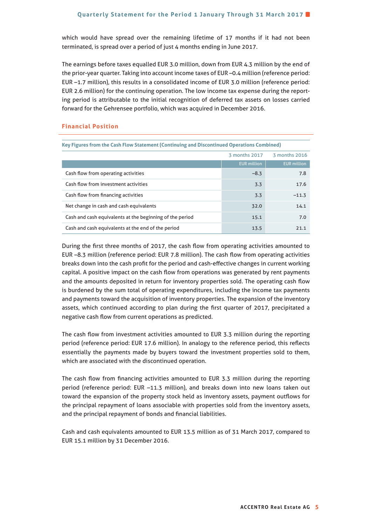which would have spread over the remaining lifetime of 17 months if it had not been terminated, is spread over a period of just 4 months ending in June 2017.

The earnings before taxes equalled EUR 3.0 million, down from EUR 4.3 million by the end of the prior-year quarter. Taking into account income taxes of EUR –0.4 million (reference period: EUR –1.7 million), this results in a consolidated income of EUR 3.0 million (reference period: EUR 2.6 million) for the continuing operation. The low income tax expense during the reporting period is attributable to the initial recognition of deferred tax assets on losses carried forward for the Gehrensee portfolio, which was acquired in December 2016.

#### **Financial Position**

| Key Figures from the Cash Flow Statement (Continuing and Discontinued Operations Combined) |                    |                    |  |  |
|--------------------------------------------------------------------------------------------|--------------------|--------------------|--|--|
| 3 months 2016<br>3 months 2017                                                             |                    |                    |  |  |
|                                                                                            | <b>EUR</b> million | <b>EUR</b> million |  |  |
| Cash flow from operating activities                                                        | $-8.3$             | 7.8                |  |  |
| Cash flow from investment activities                                                       | 3.3                | 17.6               |  |  |
| Cash flow from financing activities                                                        | 3.3                | $-11.3$            |  |  |
| Net change in cash and cash equivalents                                                    | 32.0               | 14.1               |  |  |
| Cash and cash equivalents at the beginning of the period                                   | 15.1               | 7.0                |  |  |
| Cash and cash equivalents at the end of the period                                         | 13.5               | 21.1               |  |  |

During the first three months of 2017, the cash flow from operating activities amounted to EUR -8.3 million (reference period: EUR 7.8 million). The cash flow from operating activities breaks down into the cash profit for the period and cash-effective changes in current working capital. A positive impact on the cash flow from operations was generated by rent payments and the amounts deposited in return for inventory properties sold. The operating cash flow is burdened by the sum total of operating expenditures, including the income tax payments and payments toward the acquisition of inventory properties. The expansion of the inventory assets, which continued according to plan during the first quarter of 2017, precipitated a negative cash flow from current operations as predicted.

The cash flow from investment activities amounted to EUR 3.3 million during the reporting period (reference period: EUR 17.6 million). In analogy to the reference period, this reflects essentially the payments made by buyers toward the investment properties sold to them, which are associated with the discontinued operation.

The cash flow from financing activities amounted to EUR 3.3 million during the reporting period (reference period: EUR –11.3 million), and breaks down into new loans taken out toward the expansion of the property stock held as inventory assets, payment outflows for the principal repayment of loans associable with properties sold from the inventory assets, and the principal repayment of bonds and financial liabilities.

Cash and cash equivalents amounted to EUR 13.5 million as of 31 March 2017, compared to EUR 15.1 million by 31 December 2016.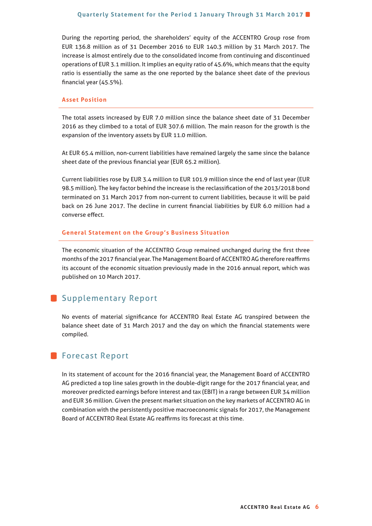#### **Quarterly Statement for the Period 1 January Through 31 March 2017**

During the reporting period, the shareholders' equity of the ACCENTRO Group rose from EUR 136.8 million as of 31 December 2016 to EUR 140.3 million by 31 March 2017. The increase is almost entirely due to the consolidated income from continuing and discontinued operations of EUR 3.1 million. It implies an equity ratio of 45.6%, which means that the equity ratio is essentially the same as the one reported by the balance sheet date of the previous financial year (45.5%).

#### **Asset Position**

The total assets increased by EUR 7.0 million since the balance sheet date of 31 December 2016 as they climbed to a total of EUR 307.6 million. The main reason for the growth is the expansion of the inventory assets by EUR 11.0 million.

At EUR 65.4 million, non-current liabilities have remained largely the same since the balance sheet date of the previous financial year (EUR 65.2 million).

Current liabilities rose by EUR 3.4 million to EUR 101.9 million since the end of last year (EUR 98.5 million). The key factor behind the increase is the reclassification of the 2013/2018 bond terminated on 31 March 2017 from non-current to current liabilities, because it will be paid back on 26 June 2017. The decline in current financial liabilities by EUR 6.0 million had a converse effect.

#### **General Statement on the Group's Business Situation**

The economic situation of the ACCENTRO Group remained unchanged during the first three months of the 2017 financial year. The Management Board of ACCENTRO AG therefore reaffirms its account of the economic situation previously made in the 2016 annual report, which was published on 10 March 2017.

## **Supplementary Report**

No events of material significance for ACCENTRO Real Estate AG transpired between the balance sheet date of 31 March 2017 and the day on which the financial statements were compiled.

## **Forecast Report**

In its statement of account for the 2016 financial year, the Management Board of ACCENTRO AG predicted a top line sales growth in the double-digit range for the 2017 financial year, and moreover predicted earnings before interest and tax (EBIT) in a range between EUR 34 million and EUR 36 million. Given the present market situation on the key markets of ACCENTRO AG in combination with the persistently positive macroeconomic signals for 2017, the Management Board of ACCENTRO Real Estate AG reaffirms its forecast at this time.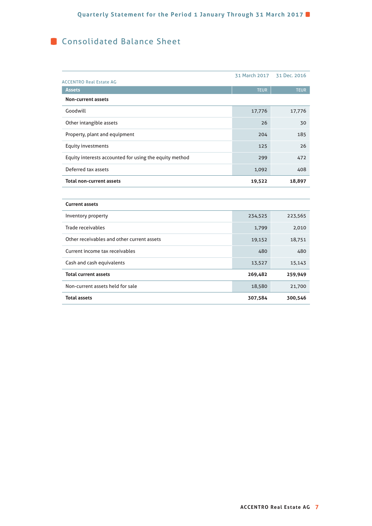# **Consolidated Balance Sheet**

|                                                        | 31 March 2017 | 31 Dec. 2016 |
|--------------------------------------------------------|---------------|--------------|
| <b>ACCENTRO Real Estate AG</b><br><b>Assets</b>        | <b>TEUR</b>   | <b>TEUR</b>  |
| <b>Non-current assets</b>                              |               |              |
| Goodwill                                               | 17,776        | 17,776       |
| Other intangible assets                                | 26            | 30           |
| Property, plant and equipment                          | 204           | 185          |
| Equity investments                                     | 125           | 26           |
| Equity interests accounted for using the equity method | 299           | 472          |
| Deferred tax assets                                    | 1,092         | 408          |
| <b>Total non-current assets</b>                        | 19,522        | 18,897       |
|                                                        |               |              |
| <b>Current assets</b>                                  |               |              |
| Inventory property                                     | 234,525       | 223,565      |
| Trade receivables                                      | 1,799         | 2,010        |
| Other receivables and other current assets             | 19,152        | 18,751       |
| Current income tax receivables                         | 480           | 480          |
| Cash and cash equivalents                              | 13,527        | 15,143       |
| <b>Total current assets</b>                            | 269,482       | 259,949      |
| Non-current assets held for sale                       | 18,580        | 21,700       |
| <b>Total assets</b>                                    | 307,584       | 300,546      |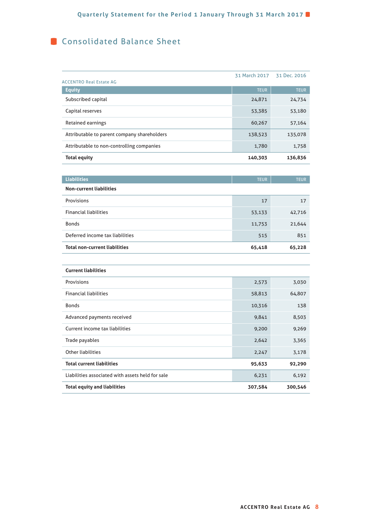# **Consolidated Balance Sheet**

|                                                  | 31 March 2017 | 31 Dec. 2016 |
|--------------------------------------------------|---------------|--------------|
| <b>ACCENTRO Real Estate AG</b><br><b>Equity</b>  | <b>TEUR</b>   | TEUR         |
| Subscribed capital                               | 24,871        | 24,734       |
| Capital reserves                                 | 53,385        | 53,180       |
| Retained earnings                                | 60,267        | 57,164       |
| Attributable to parent company shareholders      | 138,523       | 135,078      |
| Attributable to non-controlling companies        | 1,780         | 1,758        |
| <b>Total equity</b>                              | 140,303       | 136,836      |
|                                                  |               |              |
| <b>Liabilities</b>                               | <b>TEUR</b>   | <b>TEUR</b>  |
| <b>Non-current liabilities</b>                   |               |              |
| Provisions                                       | 17            | 17           |
| <b>Financial liabilities</b>                     | 53,133        | 42,716       |
| <b>Bonds</b>                                     | 11,753        | 21,644       |
| Deferred income tax liabilities                  | 515           | 851          |
| <b>Total non-current liabilities</b>             | 65,418        | 65,228       |
|                                                  |               |              |
| <b>Current liabilities</b>                       |               |              |
| Provisions                                       | 2,573         | 3,030        |
| <b>Financial liabilities</b>                     | 58,813        | 64,807       |
| <b>Bonds</b>                                     | 10,316        | 138          |
| Advanced payments received                       | 9,841         | 8,503        |
| Current income tax liabilities                   | 9,200         | 9,269        |
| Trade payables                                   | 2,642         | 3,365        |
| Other liabilities                                | 2,247         | 3,178        |
| <b>Total current liabilities</b>                 | 95,633        | 92,290       |
| Liabilities associated with assets held for sale | 6,231         | 6,192        |
| <b>Total equity and liabilities</b>              | 307,584       | 300,546      |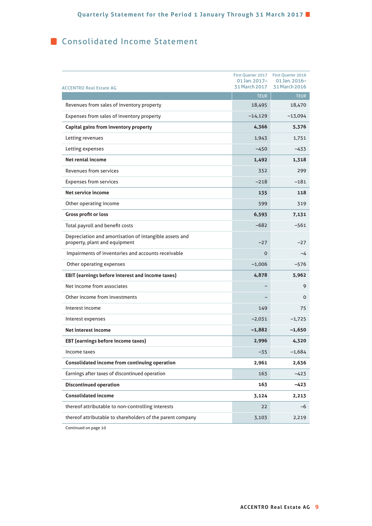# **Consolidated Income Statement**

| <b>ACCENTRO Real Estate AG</b>                                                          | First Quarter 2017<br>01 Jan. 2017-<br>31 March 2017 | First Quarter 2016<br>01 Jan. 2016-<br>31 March 2016 |
|-----------------------------------------------------------------------------------------|------------------------------------------------------|------------------------------------------------------|
|                                                                                         | <b>TEUR</b>                                          | <b>TEUR</b>                                          |
| Revenues from sales of inventory property                                               | 18,495                                               | 18,470                                               |
| Expenses from sales of inventory property                                               | $-14,129$                                            | $-13,094$                                            |
| Capital gains from inventory property                                                   | 4,366                                                | 5,376                                                |
| Letting revenues                                                                        | 1,943                                                | 1,751                                                |
| Letting expenses                                                                        | $-450$                                               | $-433$                                               |
| Net rental income                                                                       | 1,492                                                | 1,318                                                |
| Revenues from services                                                                  | 352                                                  | 299                                                  |
| <b>Expenses from services</b>                                                           | $-218$                                               | $-181$                                               |
| Net service income                                                                      | 135                                                  | 118                                                  |
| Other operating income                                                                  | 599                                                  | 319                                                  |
| <b>Gross profit or loss</b>                                                             | 6,593                                                | 7,131                                                |
| Total payroll and benefit costs                                                         | $-682$                                               | $-561$                                               |
| Depreciation and amortisation of intangible assets and<br>property, plant and equipment | $-27$                                                | $-27$                                                |
| Impairments of inventories and accounts receivable                                      | 0                                                    | -4                                                   |
| Other operating expenses                                                                | $-1,006$                                             | $-576$                                               |
| <b>EBIT</b> (earnings before interest and income taxes)                                 | 4,878                                                | 5,962                                                |
| Net income from associates                                                              |                                                      | 9                                                    |
| Other income from investments                                                           |                                                      | 0                                                    |
| Interest income                                                                         | 149                                                  | 75                                                   |
| Interest expenses                                                                       | $-2,031$                                             | $-1,725$                                             |
| Net interest income                                                                     | $-1,882$                                             | -1,650                                               |
| <b>EBT</b> (earnings before income taxes)                                               | 2,996                                                | 4,320                                                |
| Income taxes                                                                            | -35                                                  | $-1,684$                                             |
| Consolidated income from continuing operation                                           | 2,961                                                | 2,636                                                |
| Earnings after taxes of discontinued operation                                          | 163                                                  | $-423$                                               |
| <b>Discontinued operation</b>                                                           | 163                                                  | -423                                                 |
| <b>Consolidated income</b>                                                              | 3,124                                                | 2,213                                                |
| thereof attributable to non-controlling interests                                       | 22                                                   | $-6$                                                 |
| thereof attributable to shareholders of the parent company                              | 3,103                                                | 2,219                                                |

Continued on page 10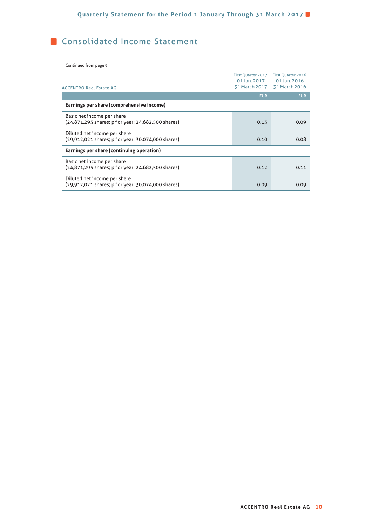# **Consolidated Income Statement**

Continued from page 9

| <b>ACCENTRO Real Estate AG</b>                                                     | First Quarter 2017<br>01 Jan. 2017- | <b>First Quarter 2016</b><br>$01$ Jan. $2016-$<br>31 March 2017 31 March 2016 |
|------------------------------------------------------------------------------------|-------------------------------------|-------------------------------------------------------------------------------|
|                                                                                    | <b>EUR</b>                          | <b>EUR</b>                                                                    |
| Earnings per share (comprehensive income)                                          |                                     |                                                                               |
| Basic net income per share<br>(24,871,295 shares; prior year: 24,682,500 shares)   | 0.13                                | 0.09                                                                          |
| Diluted net income per share<br>(29,912,021 shares; prior year: 30,074,000 shares) | 0.10                                | 0.08                                                                          |
| Earnings per share (continuing operation)                                          |                                     |                                                                               |
| Basic net income per share<br>(24,871,295 shares; prior year: 24,682,500 shares)   | 0.12                                | 0.11                                                                          |
| Diluted net income per share<br>(29,912,021 shares; prior year: 30,074,000 shares) | 0.09                                | 0.09                                                                          |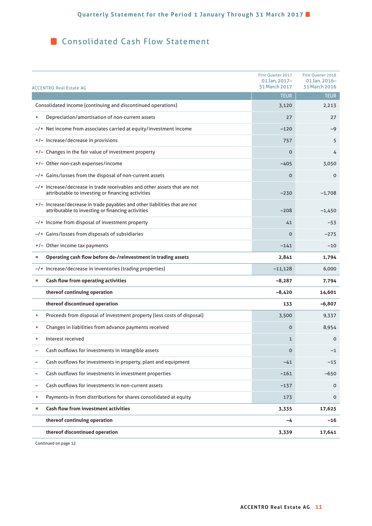**Consolidated Cash Flow Statement** 

| First Quarter 2017<br>$01$ Jan. $2017-$<br>31 March 2017<br>ACCENTRO Real Estate AG |                                                                                                                                  |             |             |
|-------------------------------------------------------------------------------------|----------------------------------------------------------------------------------------------------------------------------------|-------------|-------------|
|                                                                                     |                                                                                                                                  | <b>TEUR</b> | <b>TEUR</b> |
|                                                                                     | Consolidated income (continuing and discontinued operations)                                                                     | 3,120       | 2,213       |
| +                                                                                   | Depreciation/amortisation of non-current assets                                                                                  | 27          | 27          |
|                                                                                     | -/+ Net income from associates carried at equity/investment income                                                               | $-120$      | $-9$        |
|                                                                                     | +/- Increase/decrease in provisions                                                                                              | 757         | 5           |
|                                                                                     | +/- Changes in the fair value of investment property                                                                             | 0           | 4           |
|                                                                                     | +/- Other non-cash expenses/income                                                                                               | $-405$      | 3,050       |
|                                                                                     | -/+ Gains/losses from the disposal of non-current assets                                                                         | 0           | 0           |
|                                                                                     | $-$ /+ Increase/decrease in trade receivables and other assets that are not<br>attributable to investing or financing activities | $-230$      | $-1,708$    |
|                                                                                     | +/- Increase/decrease in trade payables and other liabilities that are not<br>attributable to investing or financing activities  | $-208$      | $-1,450$    |
|                                                                                     | -/+ Income from disposal of investment property                                                                                  | 41          | $-53$       |
|                                                                                     | -/+ Gains/losses from disposals of subsidiaries                                                                                  | $\Omega$    | $-275$      |
|                                                                                     | +/- Other income tax payments                                                                                                    | $-141$      | $-10$       |
| Ξ                                                                                   | Operating cash flow before de-/reinvestment in trading assets<br>2,841                                                           |             | 1,794       |
|                                                                                     | -/+ Increase/decrease in inventories (trading properties)                                                                        | $-11,128$   | 6,000       |
| Ξ                                                                                   | <b>Cash flow from operating activities</b>                                                                                       | $-8,287$    | 7,794       |
|                                                                                     | thereof continuing operation                                                                                                     | -8,420      | 14,601      |
|                                                                                     | thereof discontinued operation                                                                                                   | 133         | $-6,807$    |
| ÷                                                                                   | Proceeds from disposal of investment property (less costs of disposal)                                                           | 3,500       | 9,337       |
| +                                                                                   | Changes in liabilities from advance payments received                                                                            | $\mathbf 0$ | 8,954       |
| +                                                                                   | Interest received                                                                                                                | 1           | $\mathbf 0$ |
|                                                                                     | Cash outflows for investments in intangible assets                                                                               | $\Omega$    | $-1$        |
|                                                                                     | Cash outflows for investments in property, plant and equipment                                                                   | $-41$       | $-15$       |
| -                                                                                   | Cash outflows for investments in investment properties                                                                           | $-161$      | $-650$      |
|                                                                                     | Cash outflows for investments in non-current assets                                                                              | $-137$      | $\mathbf 0$ |
| +                                                                                   | Payments-in from distributions for shares consolidated at equity                                                                 | 173         | 0           |
| Ξ                                                                                   | <b>Cash flow from investment activities</b>                                                                                      | 3,335       | 17,625      |
|                                                                                     | thereof continuing operation                                                                                                     | -4          | -16         |
|                                                                                     | thereof discontinued operation                                                                                                   | 3,339       | 17,641      |

Continued on page 12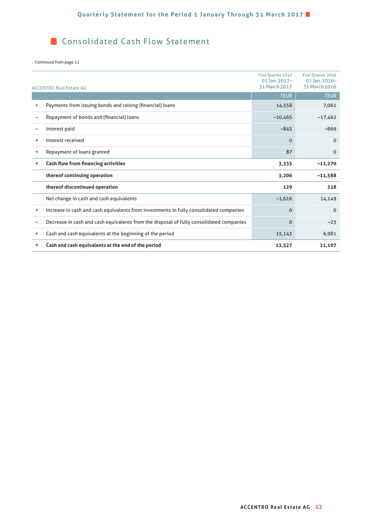# **Consolidated Cash Flow Statement**

#### Continued from page 11

|           | <b>ACCENTRO Real Estate AG</b>                                                          | First Ouarter 2017<br>$01$ Jan. $2017-$<br>31 March 2017 | <b>First Ouarter 2016</b><br>01 Jan. 2016-<br>31 March 2016 |
|-----------|-----------------------------------------------------------------------------------------|----------------------------------------------------------|-------------------------------------------------------------|
|           |                                                                                         | <b>TEUR</b>                                              | <b>TEUR</b>                                                 |
| +         | Payments from issuing bonds and raising (financial) loans                               | 14,558                                                   | 7,061                                                       |
|           | Repayment of bonds and (financial) loans                                                | $-10,465$                                                | $-17,462$                                                   |
| -         | Interest paid                                                                           | $-845$                                                   | $-869$                                                      |
| +         | Interest received                                                                       | $\Omega$                                                 | $\Omega$                                                    |
| +         | Repayment of loans granted                                                              | 87                                                       | $\mathbf 0$                                                 |
| $\equiv$  | <b>Cash flow from financing activities</b>                                              | 3,335                                                    | $-11,270$                                                   |
|           | thereof continuing operation                                                            | 3,206                                                    | $-11,588$                                                   |
|           | thereof discontinued operation                                                          | 129                                                      | 318                                                         |
|           | Net change in cash and cash equivalents                                                 | $-1,616$                                                 | 14,149                                                      |
| $\ddot{}$ | Increase in cash and cash equivalents from investments in fully consolidated companies  | $\Omega$                                                 | $\Omega$                                                    |
|           | Decrease in cash and cash equivalents from the disposal of fully consolidated companies | $\Omega$                                                 | $-23$                                                       |
| $\ddot{}$ | Cash and cash equivalents at the beginning of the period                                | 15,143                                                   | 6,981                                                       |
| Ξ         | Cash and cash equivalents at the end of the period                                      | 13,527                                                   | 21,107                                                      |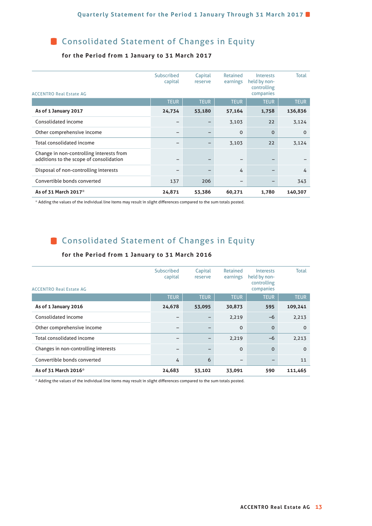**Consolidated Statement of Changes in Equity** 

## **for the Period from 1 January to 31 March 2017**

| <b>ACCENTRO Real Estate AG</b>                                                      | Subscribed<br>capital | Capital<br>reserve | Retained<br>earnings | Interests<br>held by non-<br>controlling<br>companies | <b>Total</b> |
|-------------------------------------------------------------------------------------|-----------------------|--------------------|----------------------|-------------------------------------------------------|--------------|
|                                                                                     | <b>TEUR</b>           | <b>TEUR</b>        | <b>TEUR</b>          | <b>TEUR</b>                                           | <b>TEUR</b>  |
| As of 1 January 2017                                                                | 24,734                | 53,180             | 57,164               | 1,758                                                 | 136,836      |
| Consolidated income                                                                 |                       |                    | 3,103                | 22                                                    | 3,124        |
| Other comprehensive income                                                          | -                     |                    | 0                    | $\Omega$                                              | $\Omega$     |
| Total consolidated income                                                           |                       |                    | 3,103                | 22                                                    | 3,124        |
| Change in non-controlling interests from<br>additions to the scope of consolidation |                       |                    | -                    |                                                       |              |
| Disposal of non-controlling interests                                               |                       |                    | 4                    |                                                       | 4            |
| Convertible bonds converted                                                         | 137                   | 206                | $\qquad \qquad$      | -                                                     | 343          |
| As of 31 March 2017*                                                                | 24,871                | 53,386             | 60,271               | 1,780                                                 | 140,307      |

\* Adding the values of the individual line items may result in slight diff erences compared to the sum totals posted.

# **Consolidated Statement of Changes in Equity**

#### **for the Period from 1 January to 31 March 2016**

| <b>ACCENTRO Real Estate AG</b>       | Subscribed<br>capital | Capital<br>reserve | Retained<br>earnings | Interests<br>held by non-<br>controlling<br>companies | <b>Total</b> |
|--------------------------------------|-----------------------|--------------------|----------------------|-------------------------------------------------------|--------------|
|                                      | <b>TEUR</b>           | <b>TEUR</b>        | <b>TEUR</b>          | <b>TEUR</b>                                           | <b>TEUR</b>  |
| As of 1 January 2016                 | 24,678                | 53,095             | 30,873               | 595                                                   | 109,241      |
| Consolidated income                  |                       |                    | 2,219                | $-6$                                                  | 2,213        |
| Other comprehensive income           |                       |                    | 0                    | $\Omega$                                              | $\Omega$     |
| Total consolidated income            | -                     |                    | 2,219                | $-6$                                                  | 2,213        |
| Changes in non-controlling interests | -                     | -                  | $\Omega$             | $\Omega$                                              | $\Omega$     |
| Convertible bonds converted          | 4                     | 6                  | -                    |                                                       | 11           |
| As of 31 March 2016*                 | 24,683                | 53,102             | 33,091               | 590                                                   | 111,465      |

\* Adding the values of the individual line items may result in slight differences compared to the sum totals posted.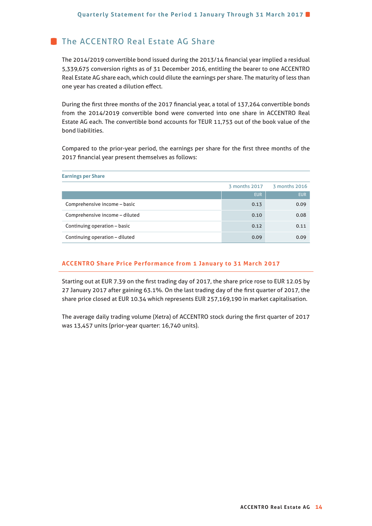# **The ACCENTRO Real Estate AG Share**

**Earnings per Share**

The 2014/2019 convertible bond issued during the 2013/14 financial year implied a residual 5,339,675 conversion rights as of 31 December 2016, entitling the bearer to one ACCENTRO Real Estate AG share each, which could dilute the earnings per share. The maturity of less than one year has created a dilution effect.

During the first three months of the 2017 financial year, a total of 137,264 convertible bonds from the 2014/2019 convertible bond were converted into one share in ACCENTRO Real Estate AG each. The convertible bond accounts for TEUR 11,753 out of the book value of the bond liabilities.

Compared to the prior-year period, the earnings per share for the first three months of the 2017 financial year present themselves as follows:

|                                | 3 months 2017 | 3 months 2016 |
|--------------------------------|---------------|---------------|
|                                | <b>EUR</b>    | <b>EUR</b>    |
| Comprehensive income - basic   | 0.13          | 0.09          |
| Comprehensive income - diluted | 0.10          | 0.08          |
| Continuing operation - basic   | 0.12          | 0.11          |
| Continuing operation - diluted | 0.09          | 0.09          |

## **ACCENTRO Share Price Performance from 1 January to 31 March 2017**

Starting out at EUR 7.39 on the first trading day of 2017, the share price rose to EUR 12.05 by 27 January 2017 after gaining 63.1%. On the last trading day of the first quarter of 2017, the share price closed at EUR 10.34 which represents EUR 257,169,190 in market capitalisation.

The average daily trading volume (Xetra) of ACCENTRO stock during the first quarter of 2017 was 13,457 units (prior-year quarter: 16,740 units).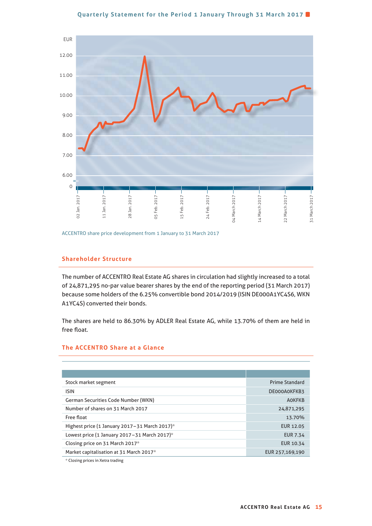#### **Quarterly Statement for the Period 1 January Through 31 March 2017**



ACCENTRO share price development from 1 January to 31 March 2017

## **Shareholder Structure**

The number of ACCENTRO Real Estate AG shares in circulation had slightly increased to a total of 24,871,295 no-par value bearer shares by the end of the reporting period (31 March 2017) because some holders of the 6.25% convertible bond 2014/2019 (ISIN DE000A1YC4S6, WKN A1YC4S) converted their bonds.

The shares are held to 86.30% by ADLER Real Estate AG, while 13.70% of them are held in free float.

#### **The ACCENTRO Share at a Glance**

| Stock market segment                          | <b>Prime Standard</b> |
|-----------------------------------------------|-----------------------|
| <b>ISIN</b>                                   | DE000A0KFKB3          |
| <b>German Securities Code Number (WKN)</b>    | <b>AOKFKB</b>         |
| Number of shares on 31 March 2017             | 24,871,295            |
| Free float                                    | 13.70%                |
| Highest price (1 January 2017-31 March 2017)* | <b>EUR 12.05</b>      |
| Lowest price (1 January 2017-31 March 2017)*  | <b>EUR 7.34</b>       |
| Closing price on 31 March 2017*               | EUR 10.34             |
| Market capitalisation at 31 March 2017*       | EUR 257,169,190       |

\* Closing prices in Xetra trading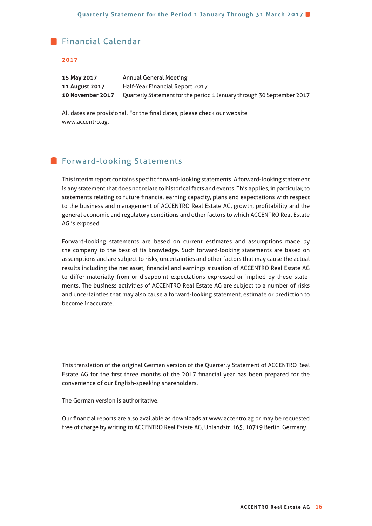## **Financial Calendar**

#### **2017**

| 15 May 2017           | Annual General Meeting                                                 |
|-----------------------|------------------------------------------------------------------------|
| <b>11 August 2017</b> | Half-Year Financial Report 2017                                        |
| 10 November 2017      | Quarterly Statement for the period 1 January through 30 September 2017 |

All dates are provisional. For the final dates, please check our website www.accentro.ag.

## **Forward-looking Statements**

This interim report contains specific forward-looking statements. A forward-looking statement is any statement that does not relate to historical facts and events. This applies, in particular, to statements relating to future financial earning capacity, plans and expectations with respect to the business and management of ACCENTRO Real Estate AG, growth, profitability and the general economic and regulatory conditions and other factors to which ACCENTRO Real Estate AG is exposed.

Forward-looking statements are based on current estimates and assumptions made by the company to the best of its knowledge. Such forward-looking statements are based on assumptions and are subject to risks, uncertainties and other factors that may cause the actual results including the net asset, financial and earnings situation of ACCENTRO Real Estate AG to differ materially from or disappoint expectations expressed or implied by these statements. The business activities of ACCENTRO Real Estate AG are subject to a number of risks and uncertainties that may also cause a forward-looking statement, estimate or prediction to become inaccurate.

This translation of the original German version of the Quarterly Statement of ACCENTRO Real Estate AG for the first three months of the 2017 financial year has been prepared for the convenience of our English-speaking shareholders.

The German version is authoritative.

Our financial reports are also available as downloads at www.accentro.ag or may be requested free of charge by writing to ACCENTRO Real Estate AG, Uhlandstr. 165, 10719 Berlin, Germany.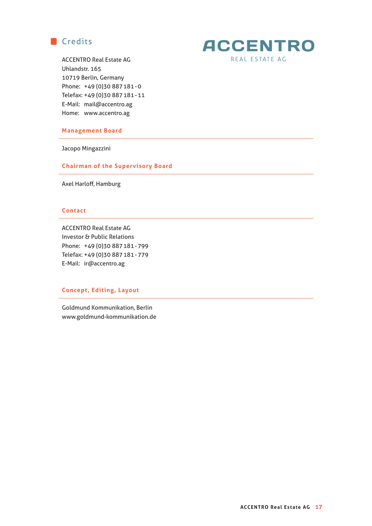



ACCENTRO Real Estate AG Uhlandstr. 165 10719 Berlin, Germany Phone: +49 (0)30 887 181 - 0 Telefax: +49 (0)30 887 181 - 11 E-Mail: mail@accentro.ag Home: www.accentro.ag

#### **Management Board**

Jacopo Mingazzini

#### **Chairman of the Supervisory Board**

Axel Harloff, Hamburg

#### **Contact**

ACCENTRO Real Estate AG Investor & Public Relations Phone: +49 (0)30 887 181 - 799 Telefax: +49 (0)30 887 181 - 779 E-Mail: ir@accentro.ag

## **Concept, Editing, Layout**

Goldmund Kommunikation, Berlin www.goldmund-kommunikation.de